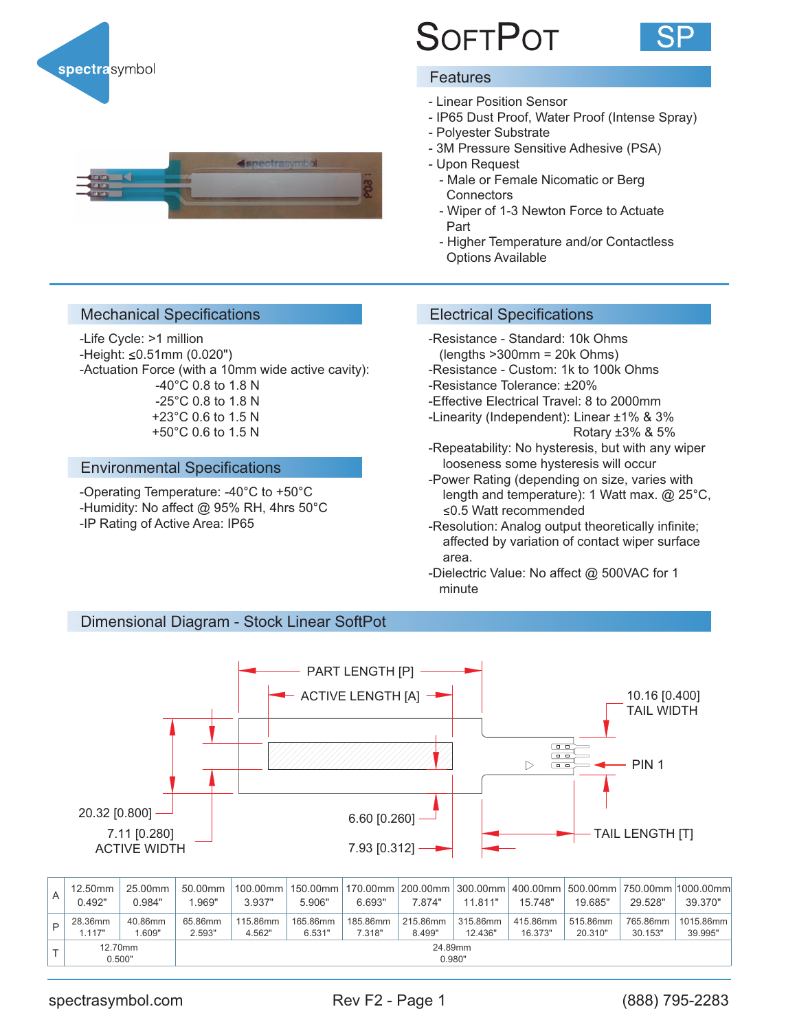

# **SOFTPOT**



### **Features**

- Linear Position Sensor
- IP65 Dust Proof, Water Proof (Intense Spray)
- Polyester Substrate
- 3M Pressure Sensitive Adhesive (PSA)
- Upon Request
- Male or Female Nicomatic or Berg **Connectors**
- Wiper of 1-3 Newton Force to Actuate Part
- Higher Temperature and/or Contactless Options Available



# Mechanical Specifications Electrical Specifications

-Life Cycle: >1 million  $-Height: \leq 0.51$ mm (0.020") -Actuation Force (with a 10mm wide active cavity): -40°C 0.8 to 1.8 N -25°C 0.8 to 1.8 N +23°C 0.6 to 1.5 N +50°C 0.6 to 1.5 N

# Environmental Specifications

-Operating Temperature: -40°C to +50°C -Humidity: No affect @ 95% RH, 4hrs 50°C -IP Rating of Active Area: IP65

- -Resistance Standard: 10k Ohms
- (lengths >300mm = 20k Ohms)
- -Resistance Custom: 1k to 100k Ohms -Resistance Tolerance: ±20%
- -Effective Electrical Travel: 8 to 2000mm
- -Linearity (Independent): Linear ±1% & 3% Rotary ±3% & 5%
- -Repeatability: No hysteresis, but with any wiper looseness some hysteresis will occur
- -Power Rating (depending on size, varies with length and temperature): 1 Watt max. @ 25°C, 0.5 Watt recommended
- -Resolution: Analog output theoretically infinite; affected by variation of contact wiper surface area.
- -Dielectric Value: No affect @ 500VAC for 1 minute

# Dimensional Diagram - Stock Linear SoftPot



| 12.50mm<br>0.492" | 25.00mm<br>0.984" | 50.00mm<br>.969"  | 3.937"             | 5.906"             | 6.693"             | 7.874"             | 11.811"             | 15.748"             | 19.685"             | 29.528"             | 100.00mm   150.00mm   170.00mm   200.00mm   300.00mm   400.00mm   500.00mm   750.00mm   1000.00mm<br>39.370" |
|-------------------|-------------------|-------------------|--------------------|--------------------|--------------------|--------------------|---------------------|---------------------|---------------------|---------------------|--------------------------------------------------------------------------------------------------------------|
| 28.36mm<br>1.117" | 40.86mm<br>1.609" | 65.86mm<br>2.593" | 115.86mm<br>4.562" | 165.86mm<br>6.531" | 185.86mm<br>7.318" | 215.86mm<br>8.499" | 315.86mm<br>12.436" | 415.86mm<br>16.373" | 515.86mm<br>20.310" | 765.86mm<br>30.153" | 1015.86mm<br>39.995"                                                                                         |
| 12.70mm<br>0.500" |                   | 24.89mm<br>0.980" |                    |                    |                    |                    |                     |                     |                     |                     |                                                                                                              |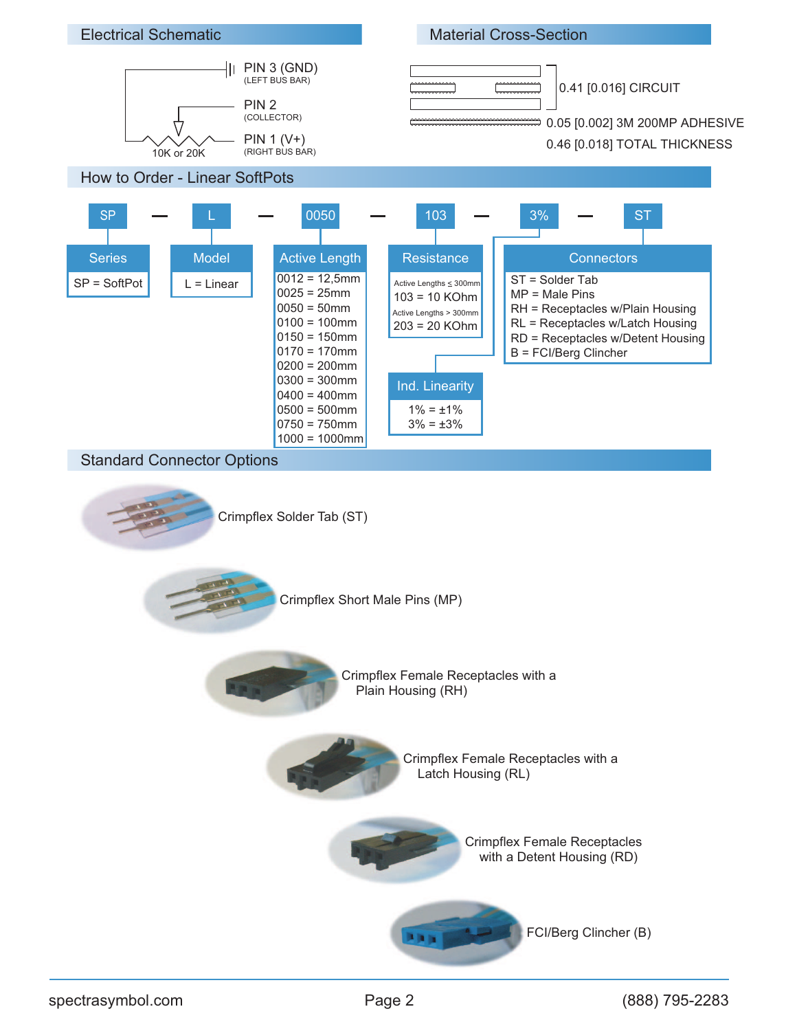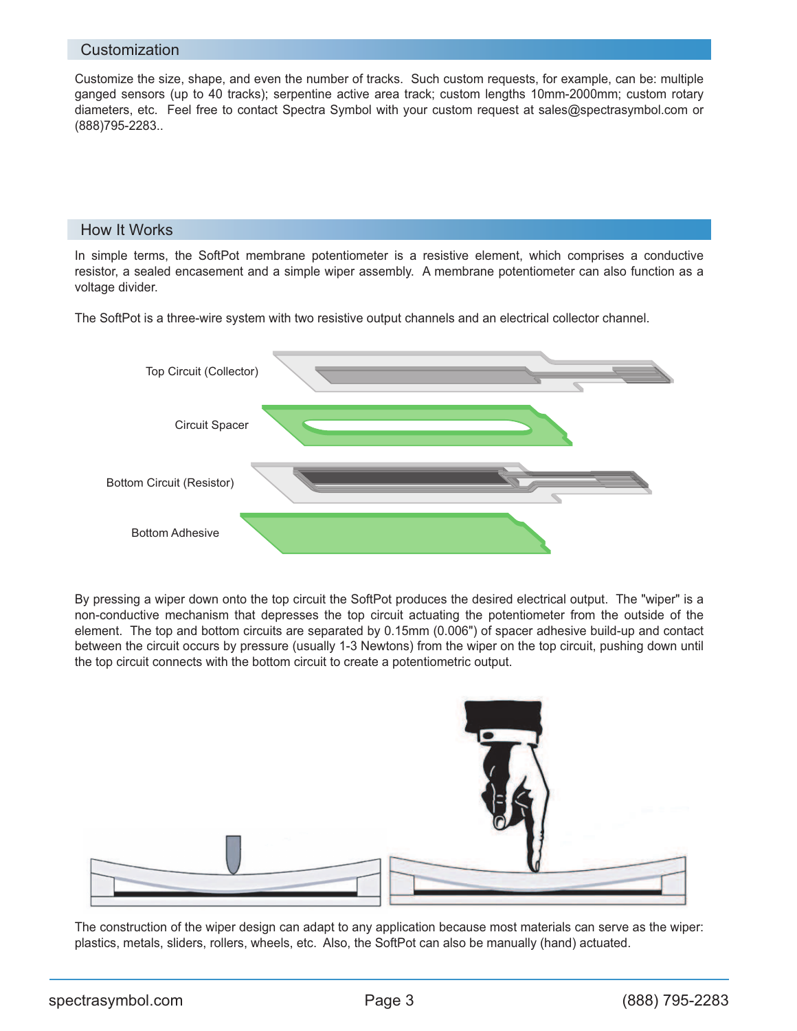#### **Customization**

Customize the size, shape, and even the number of tracks. Such custom requests, for example, can be: multiple ganged sensors (up to 40 tracks); serpentine active area track; custom lengths 10mm-2000mm; custom rotary diameters, etc. Feel free to contact Spectra Symbol with your custom request at sales@spectrasymbol.com or (888)795-2283..

# How It Works

In simple terms, the SoftPot membrane potentiometer is a resistive element, which comprises a conductive resistor, a sealed encasement and a simple wiper assembly. A membrane potentiometer can also function as a voltage divider.

The SoftPot is a three-wire system with two resistive output channels and an electrical collector channel.



By pressing a wiper down onto the top circuit the SoftPot produces the desired electrical output. The "wiper" is a non-conductive mechanism that depresses the top circuit actuating the potentiometer from the outside of the element. The top and bottom circuits are separated by 0.15mm (0.006") of spacer adhesive build-up and contact between the circuit occurs by pressure (usually 1-3 Newtons) from the wiper on the top circuit, pushing down until the top circuit connects with the bottom circuit to create a potentiometric output.



The construction of the wiper design can adapt to any application because most materials can serve as the wiper: plastics, metals, sliders, rollers, wheels, etc. Also, the SoftPot can also be manually (hand) actuated.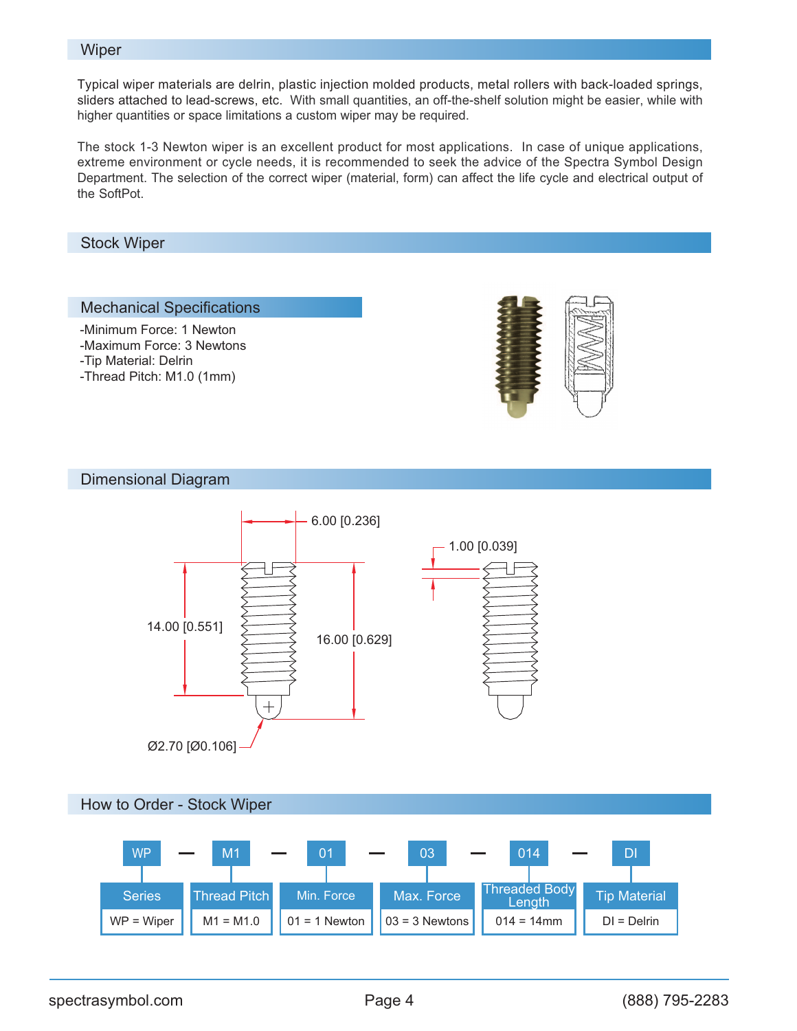#### **Wiper**

Typical wiper materials are delrin, plastic injection molded products, metal rollers with back-loaded springs, sliders attached to lead-screws, etc. With small quantities, an off-the-shelf solution might be easier, while with higher quantities or space limitations a custom wiper may be required.

The stock 1-3 Newton wiper is an excellent product for most applications. In case of unique applications, extreme environment or cycle needs, it is recommended to seek the advice of the Spectra Symbol Design Department. The selection of the correct wiper (material, form) can affect the life cycle and electrical output of the SoftPot.

Stock Wiper

#### Mechanical Specifications

-Minimum Force: 1 Newton

- -Maximum Force: 3 Newtons
- -Tip Material: Delrin
- -Thread Pitch: M1.0 (1mm)



Dimensional Diagram